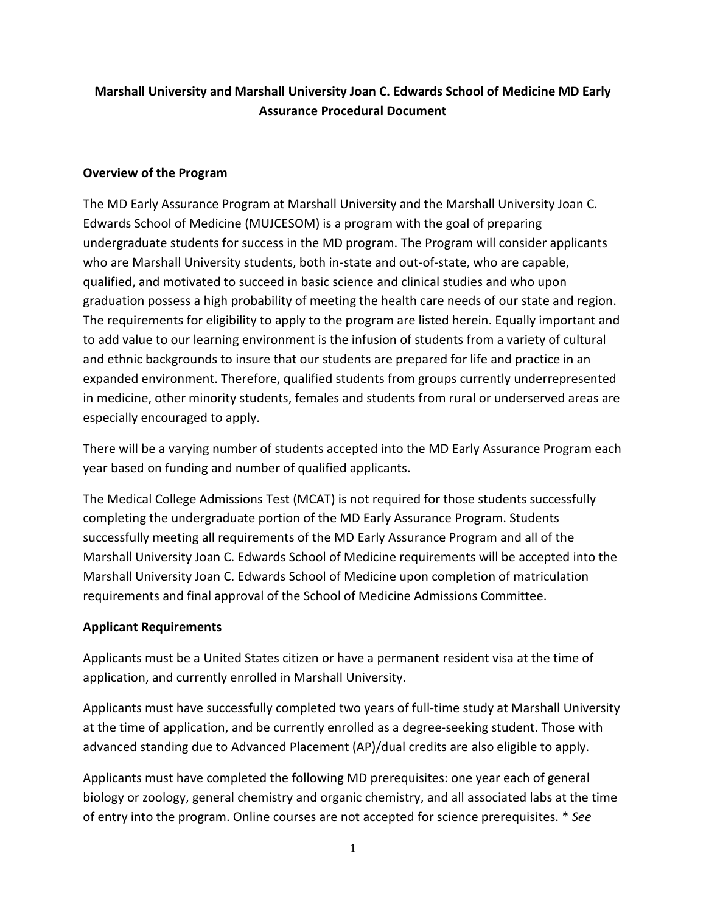# **Marshall University and Marshall University Joan C. Edwards School of Medicine MD Early Assurance Procedural Document**

#### **Overview of the Program**

The MD Early Assurance Program at Marshall University and the Marshall University Joan C. Edwards School of Medicine (MUJCESOM) is a program with the goal of preparing undergraduate students for success in the MD program. The Program will consider applicants who are Marshall University students, both in-state and out-of-state, who are capable, qualified, and motivated to succeed in basic science and clinical studies and who upon graduation possess a high probability of meeting the health care needs of our state and region. The requirements for eligibility to apply to the program are listed herein. Equally important and to add value to our learning environment is the infusion of students from a variety of cultural and ethnic backgrounds to insure that our students are prepared for life and practice in an expanded environment. Therefore, qualified students from groups currently underrepresented in medicine, other minority students, females and students from rural or underserved areas are especially encouraged to apply.

There will be a varying number of students accepted into the MD Early Assurance Program each year based on funding and number of qualified applicants.

The Medical College Admissions Test (MCAT) is not required for those students successfully completing the undergraduate portion of the MD Early Assurance Program. Students successfully meeting all requirements of the MD Early Assurance Program and all of the Marshall University Joan C. Edwards School of Medicine requirements will be accepted into the Marshall University Joan C. Edwards School of Medicine upon completion of matriculation requirements and final approval of the School of Medicine Admissions Committee.

## **Applicant Requirements**

Applicants must be a United States citizen or have a permanent resident visa at the time of application, and currently enrolled in Marshall University.

Applicants must have successfully completed two years of full-time study at Marshall University at the time of application, and be currently enrolled as a degree-seeking student. Those with advanced standing due to Advanced Placement (AP)/dual credits are also eligible to apply.

Applicants must have completed the following MD prerequisites: one year each of general biology or zoology, general chemistry and organic chemistry, and all associated labs at the time of entry into the program. Online courses are not accepted for science prerequisites. \* *See*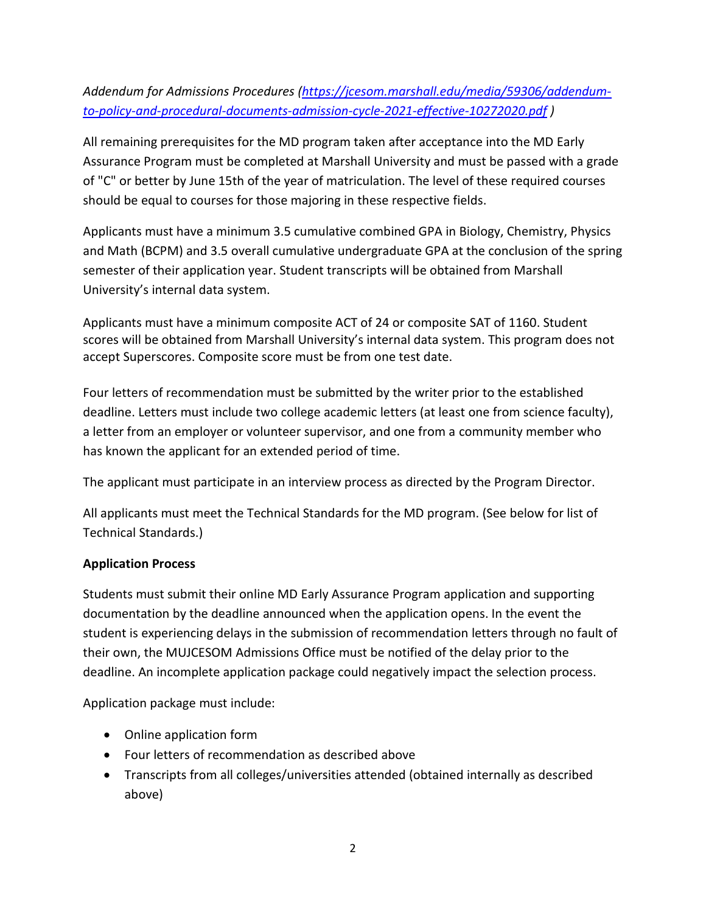# *Addendum for Admissions Procedures [\(https://jcesom.marshall.edu/media/59306/addendum](https://jcesom.marshall.edu/media/59306/addendum-to-policy-and-procedural-documents-admission-cycle-2021-effective-10272020.pdf)[to-policy-and-procedural-documents-admission-cycle-2021-effective-10272020.pdf](https://jcesom.marshall.edu/media/59306/addendum-to-policy-and-procedural-documents-admission-cycle-2021-effective-10272020.pdf) )*

All remaining prerequisites for the MD program taken after acceptance into the MD Early Assurance Program must be completed at Marshall University and must be passed with a grade of "C" or better by June 15th of the year of matriculation. The level of these required courses should be equal to courses for those majoring in these respective fields.

Applicants must have a minimum 3.5 cumulative combined GPA in Biology, Chemistry, Physics and Math (BCPM) and 3.5 overall cumulative undergraduate GPA at the conclusion of the spring semester of their application year. Student transcripts will be obtained from Marshall University's internal data system.

Applicants must have a minimum composite ACT of 24 or composite SAT of 1160. Student scores will be obtained from Marshall University's internal data system. This program does not accept Superscores. Composite score must be from one test date.

Four letters of recommendation must be submitted by the writer prior to the established deadline. Letters must include two college academic letters (at least one from science faculty), a letter from an employer or volunteer supervisor, and one from a community member who has known the applicant for an extended period of time.

The applicant must participate in an interview process as directed by the Program Director.

All applicants must meet the Technical Standards for the MD program. (See below for list of Technical Standards.)

# **Application Process**

Students must submit their online MD Early Assurance Program application and supporting documentation by the deadline announced when the application opens. In the event the student is experiencing delays in the submission of recommendation letters through no fault of their own, the MUJCESOM Admissions Office must be notified of the delay prior to the deadline. An incomplete application package could negatively impact the selection process.

Application package must include:

- Online application form
- Four letters of recommendation as described above
- Transcripts from all colleges/universities attended (obtained internally as described above)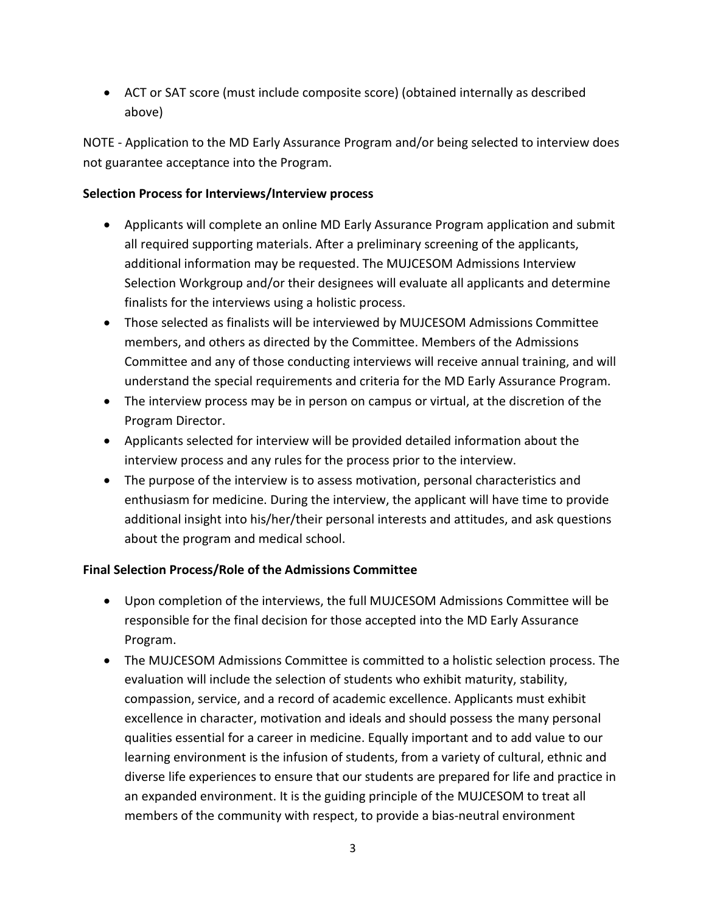• ACT or SAT score (must include composite score) (obtained internally as described above)

NOTE - Application to the MD Early Assurance Program and/or being selected to interview does not guarantee acceptance into the Program.

## **Selection Process for Interviews/Interview process**

- Applicants will complete an online MD Early Assurance Program application and submit all required supporting materials. After a preliminary screening of the applicants, additional information may be requested. The MUJCESOM Admissions Interview Selection Workgroup and/or their designees will evaluate all applicants and determine finalists for the interviews using a holistic process.
- Those selected as finalists will be interviewed by MUJCESOM Admissions Committee members, and others as directed by the Committee. Members of the Admissions Committee and any of those conducting interviews will receive annual training, and will understand the special requirements and criteria for the MD Early Assurance Program.
- The interview process may be in person on campus or virtual, at the discretion of the Program Director.
- Applicants selected for interview will be provided detailed information about the interview process and any rules for the process prior to the interview.
- The purpose of the interview is to assess motivation, personal characteristics and enthusiasm for medicine. During the interview, the applicant will have time to provide additional insight into his/her/their personal interests and attitudes, and ask questions about the program and medical school.

# **Final Selection Process/Role of the Admissions Committee**

- Upon completion of the interviews, the full MUJCESOM Admissions Committee will be responsible for the final decision for those accepted into the MD Early Assurance Program.
- The MUJCESOM Admissions Committee is committed to a holistic selection process. The evaluation will include the selection of students who exhibit maturity, stability, compassion, service, and a record of academic excellence. Applicants must exhibit excellence in character, motivation and ideals and should possess the many personal qualities essential for a career in medicine. Equally important and to add value to our learning environment is the infusion of students, from a variety of cultural, ethnic and diverse life experiences to ensure that our students are prepared for life and practice in an expanded environment. It is the guiding principle of the MUJCESOM to treat all members of the community with respect, to provide a bias-neutral environment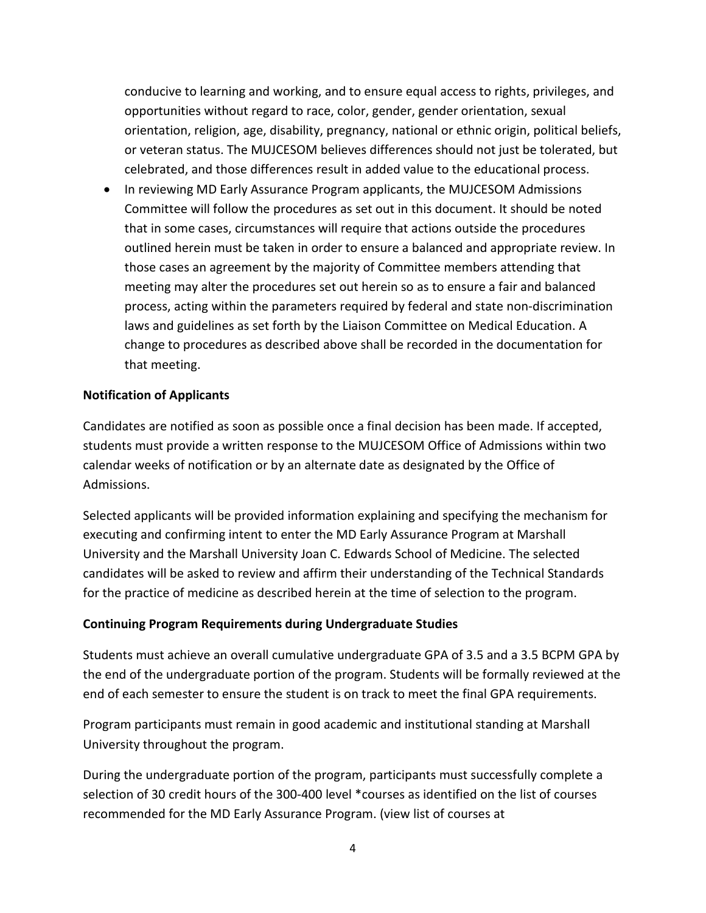conducive to learning and working, and to ensure equal access to rights, privileges, and opportunities without regard to race, color, gender, gender orientation, sexual orientation, religion, age, disability, pregnancy, national or ethnic origin, political beliefs, or veteran status. The MUJCESOM believes differences should not just be tolerated, but celebrated, and those differences result in added value to the educational process.

• In reviewing MD Early Assurance Program applicants, the MUJCESOM Admissions Committee will follow the procedures as set out in this document. It should be noted that in some cases, circumstances will require that actions outside the procedures outlined herein must be taken in order to ensure a balanced and appropriate review. In those cases an agreement by the majority of Committee members attending that meeting may alter the procedures set out herein so as to ensure a fair and balanced process, acting within the parameters required by federal and state non-discrimination laws and guidelines as set forth by the Liaison Committee on Medical Education. A change to procedures as described above shall be recorded in the documentation for that meeting.

#### **Notification of Applicants**

Candidates are notified as soon as possible once a final decision has been made. If accepted, students must provide a written response to the MUJCESOM Office of Admissions within two calendar weeks of notification or by an alternate date as designated by the Office of Admissions.

Selected applicants will be provided information explaining and specifying the mechanism for executing and confirming intent to enter the MD Early Assurance Program at Marshall University and the Marshall University Joan C. Edwards School of Medicine. The selected candidates will be asked to review and affirm their understanding of the Technical Standards for the practice of medicine as described herein at the time of selection to the program.

#### **Continuing Program Requirements during Undergraduate Studies**

Students must achieve an overall cumulative undergraduate GPA of 3.5 and a 3.5 BCPM GPA by the end of the undergraduate portion of the program. Students will be formally reviewed at the end of each semester to ensure the student is on track to meet the final GPA requirements.

Program participants must remain in good academic and institutional standing at Marshall University throughout the program.

During the undergraduate portion of the program, participants must successfully complete a selection of 30 credit hours of the 300-400 level \*courses as identified on the list of courses recommended for the MD Early Assurance Program. (view list of courses at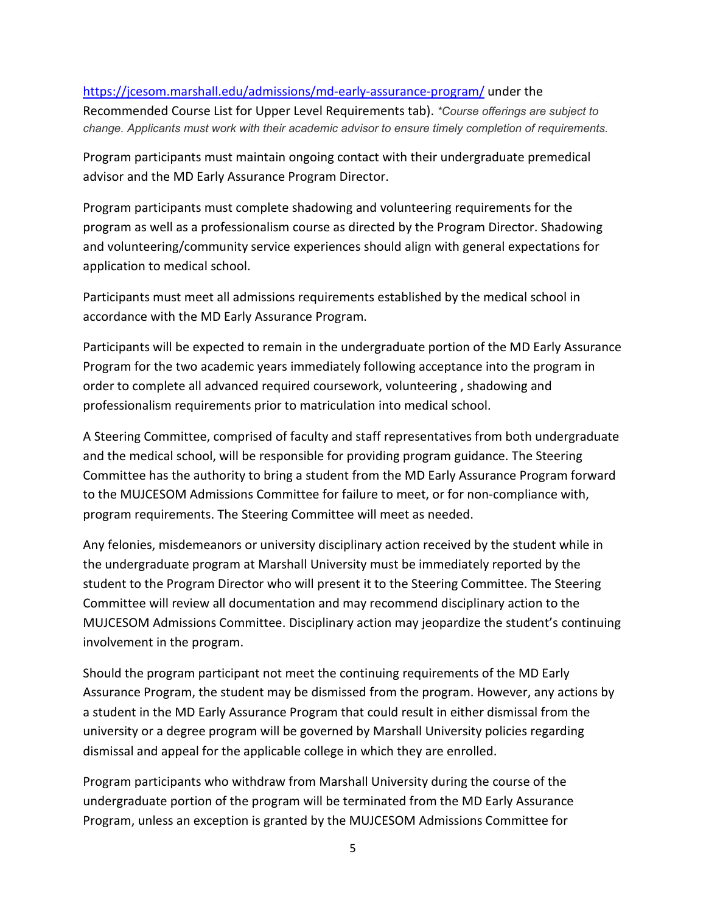#### <https://jcesom.marshall.edu/admissions/md-early-assurance-program/> under the

Recommended Course List for Upper Level Requirements tab). *\*Course offerings are subject to change. Applicants must work with their academic advisor to ensure timely completion of requirements.*

Program participants must maintain ongoing contact with their undergraduate premedical advisor and the MD Early Assurance Program Director.

Program participants must complete shadowing and volunteering requirements for the program as well as a professionalism course as directed by the Program Director. Shadowing and volunteering/community service experiences should align with general expectations for application to medical school.

Participants must meet all admissions requirements established by the medical school in accordance with the MD Early Assurance Program.

Participants will be expected to remain in the undergraduate portion of the MD Early Assurance Program for the two academic years immediately following acceptance into the program in order to complete all advanced required coursework, volunteering , shadowing and professionalism requirements prior to matriculation into medical school.

A Steering Committee, comprised of faculty and staff representatives from both undergraduate and the medical school, will be responsible for providing program guidance. The Steering Committee has the authority to bring a student from the MD Early Assurance Program forward to the MUJCESOM Admissions Committee for failure to meet, or for non-compliance with, program requirements. The Steering Committee will meet as needed.

Any felonies, misdemeanors or university disciplinary action received by the student while in the undergraduate program at Marshall University must be immediately reported by the student to the Program Director who will present it to the Steering Committee. The Steering Committee will review all documentation and may recommend disciplinary action to the MUJCESOM Admissions Committee. Disciplinary action may jeopardize the student's continuing involvement in the program.

Should the program participant not meet the continuing requirements of the MD Early Assurance Program, the student may be dismissed from the program. However, any actions by a student in the MD Early Assurance Program that could result in either dismissal from the university or a degree program will be governed by Marshall University policies regarding dismissal and appeal for the applicable college in which they are enrolled.

Program participants who withdraw from Marshall University during the course of the undergraduate portion of the program will be terminated from the MD Early Assurance Program, unless an exception is granted by the MUJCESOM Admissions Committee for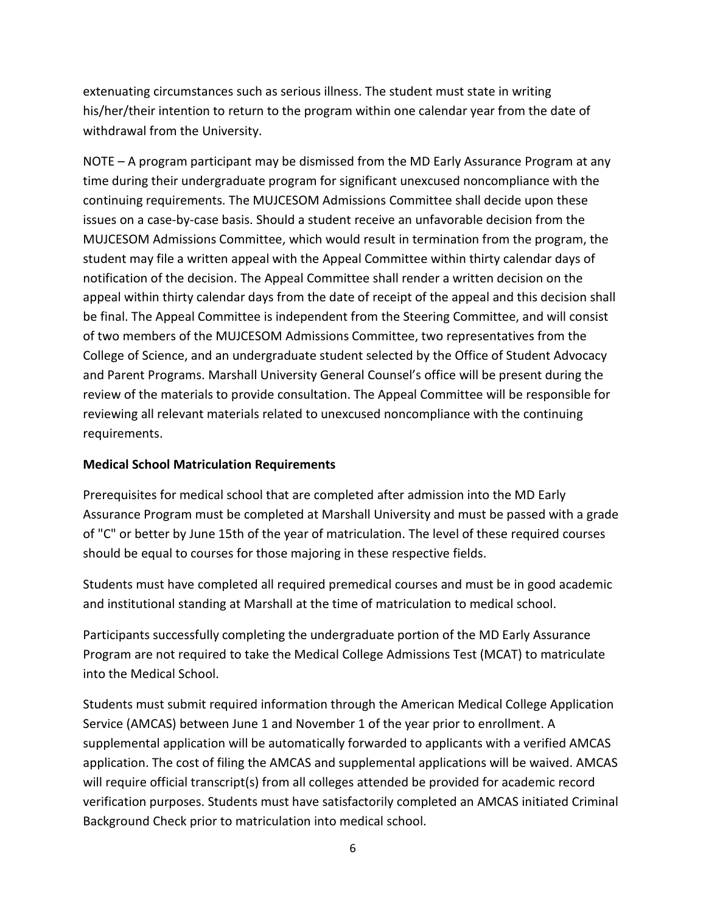extenuating circumstances such as serious illness. The student must state in writing his/her/their intention to return to the program within one calendar year from the date of withdrawal from the University.

NOTE – A program participant may be dismissed from the MD Early Assurance Program at any time during their undergraduate program for significant unexcused noncompliance with the continuing requirements. The MUJCESOM Admissions Committee shall decide upon these issues on a case-by-case basis. Should a student receive an unfavorable decision from the MUJCESOM Admissions Committee, which would result in termination from the program, the student may file a written appeal with the Appeal Committee within thirty calendar days of notification of the decision. The Appeal Committee shall render a written decision on the appeal within thirty calendar days from the date of receipt of the appeal and this decision shall be final. The Appeal Committee is independent from the Steering Committee, and will consist of two members of the MUJCESOM Admissions Committee, two representatives from the College of Science, and an undergraduate student selected by the Office of Student Advocacy and Parent Programs. Marshall University General Counsel's office will be present during the review of the materials to provide consultation. The Appeal Committee will be responsible for reviewing all relevant materials related to unexcused noncompliance with the continuing requirements.

#### **Medical School Matriculation Requirements**

Prerequisites for medical school that are completed after admission into the MD Early Assurance Program must be completed at Marshall University and must be passed with a grade of "C" or better by June 15th of the year of matriculation. The level of these required courses should be equal to courses for those majoring in these respective fields.

Students must have completed all required premedical courses and must be in good academic and institutional standing at Marshall at the time of matriculation to medical school.

Participants successfully completing the undergraduate portion of the MD Early Assurance Program are not required to take the Medical College Admissions Test (MCAT) to matriculate into the Medical School.

Students must submit required information through the American Medical College Application Service (AMCAS) between June 1 and November 1 of the year prior to enrollment. A supplemental application will be automatically forwarded to applicants with a verified AMCAS application. The cost of filing the AMCAS and supplemental applications will be waived. AMCAS will require official transcript(s) from all colleges attended be provided for academic record verification purposes. Students must have satisfactorily completed an AMCAS initiated Criminal Background Check prior to matriculation into medical school.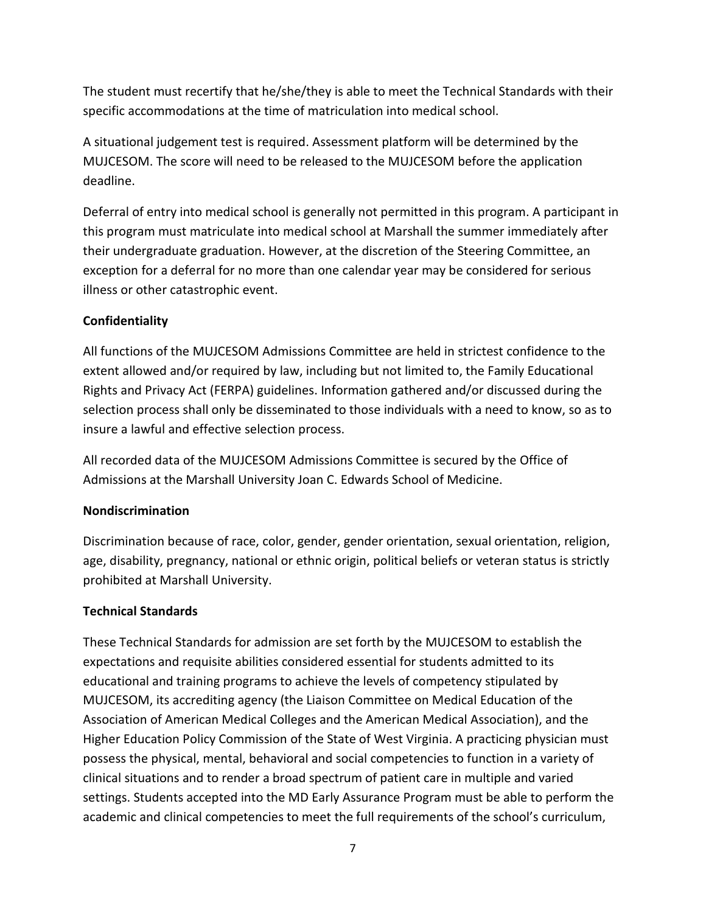The student must recertify that he/she/they is able to meet the Technical Standards with their specific accommodations at the time of matriculation into medical school.

A situational judgement test is required. Assessment platform will be determined by the MUJCESOM. The score will need to be released to the MUJCESOM before the application deadline.

Deferral of entry into medical school is generally not permitted in this program. A participant in this program must matriculate into medical school at Marshall the summer immediately after their undergraduate graduation. However, at the discretion of the Steering Committee, an exception for a deferral for no more than one calendar year may be considered for serious illness or other catastrophic event.

# **Confidentiality**

All functions of the MUJCESOM Admissions Committee are held in strictest confidence to the extent allowed and/or required by law, including but not limited to, the Family Educational Rights and Privacy Act (FERPA) guidelines. Information gathered and/or discussed during the selection process shall only be disseminated to those individuals with a need to know, so as to insure a lawful and effective selection process.

All recorded data of the MUJCESOM Admissions Committee is secured by the Office of Admissions at the Marshall University Joan C. Edwards School of Medicine.

## **Nondiscrimination**

Discrimination because of race, color, gender, gender orientation, sexual orientation, religion, age, disability, pregnancy, national or ethnic origin, political beliefs or veteran status is strictly prohibited at Marshall University.

## **Technical Standards**

These Technical Standards for admission are set forth by the MUJCESOM to establish the expectations and requisite abilities considered essential for students admitted to its educational and training programs to achieve the levels of competency stipulated by MUJCESOM, its accrediting agency (the Liaison Committee on Medical Education of the Association of American Medical Colleges and the American Medical Association), and the Higher Education Policy Commission of the State of West Virginia. A practicing physician must possess the physical, mental, behavioral and social competencies to function in a variety of clinical situations and to render a broad spectrum of patient care in multiple and varied settings. Students accepted into the MD Early Assurance Program must be able to perform the academic and clinical competencies to meet the full requirements of the school's curriculum,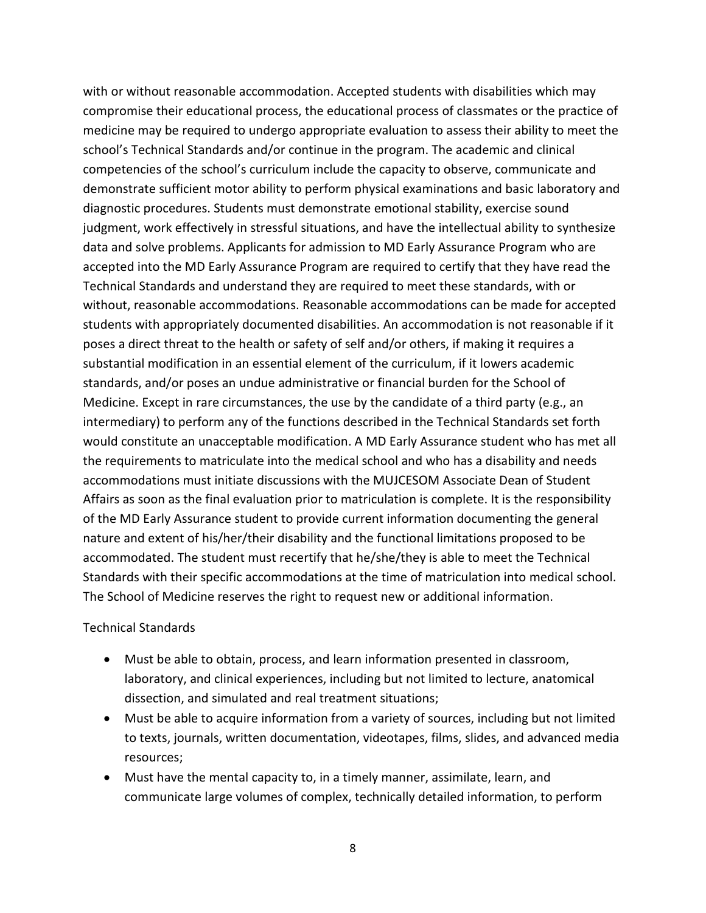with or without reasonable accommodation. Accepted students with disabilities which may compromise their educational process, the educational process of classmates or the practice of medicine may be required to undergo appropriate evaluation to assess their ability to meet the school's Technical Standards and/or continue in the program. The academic and clinical competencies of the school's curriculum include the capacity to observe, communicate and demonstrate sufficient motor ability to perform physical examinations and basic laboratory and diagnostic procedures. Students must demonstrate emotional stability, exercise sound judgment, work effectively in stressful situations, and have the intellectual ability to synthesize data and solve problems. Applicants for admission to MD Early Assurance Program who are accepted into the MD Early Assurance Program are required to certify that they have read the Technical Standards and understand they are required to meet these standards, with or without, reasonable accommodations. Reasonable accommodations can be made for accepted students with appropriately documented disabilities. An accommodation is not reasonable if it poses a direct threat to the health or safety of self and/or others, if making it requires a substantial modification in an essential element of the curriculum, if it lowers academic standards, and/or poses an undue administrative or financial burden for the School of Medicine. Except in rare circumstances, the use by the candidate of a third party (e.g., an intermediary) to perform any of the functions described in the Technical Standards set forth would constitute an unacceptable modification. A MD Early Assurance student who has met all the requirements to matriculate into the medical school and who has a disability and needs accommodations must initiate discussions with the MUJCESOM Associate Dean of Student Affairs as soon as the final evaluation prior to matriculation is complete. It is the responsibility of the MD Early Assurance student to provide current information documenting the general nature and extent of his/her/their disability and the functional limitations proposed to be accommodated. The student must recertify that he/she/they is able to meet the Technical Standards with their specific accommodations at the time of matriculation into medical school. The School of Medicine reserves the right to request new or additional information.

#### Technical Standards

- Must be able to obtain, process, and learn information presented in classroom, laboratory, and clinical experiences, including but not limited to lecture, anatomical dissection, and simulated and real treatment situations;
- Must be able to acquire information from a variety of sources, including but not limited to texts, journals, written documentation, videotapes, films, slides, and advanced media resources;
- Must have the mental capacity to, in a timely manner, assimilate, learn, and communicate large volumes of complex, technically detailed information, to perform